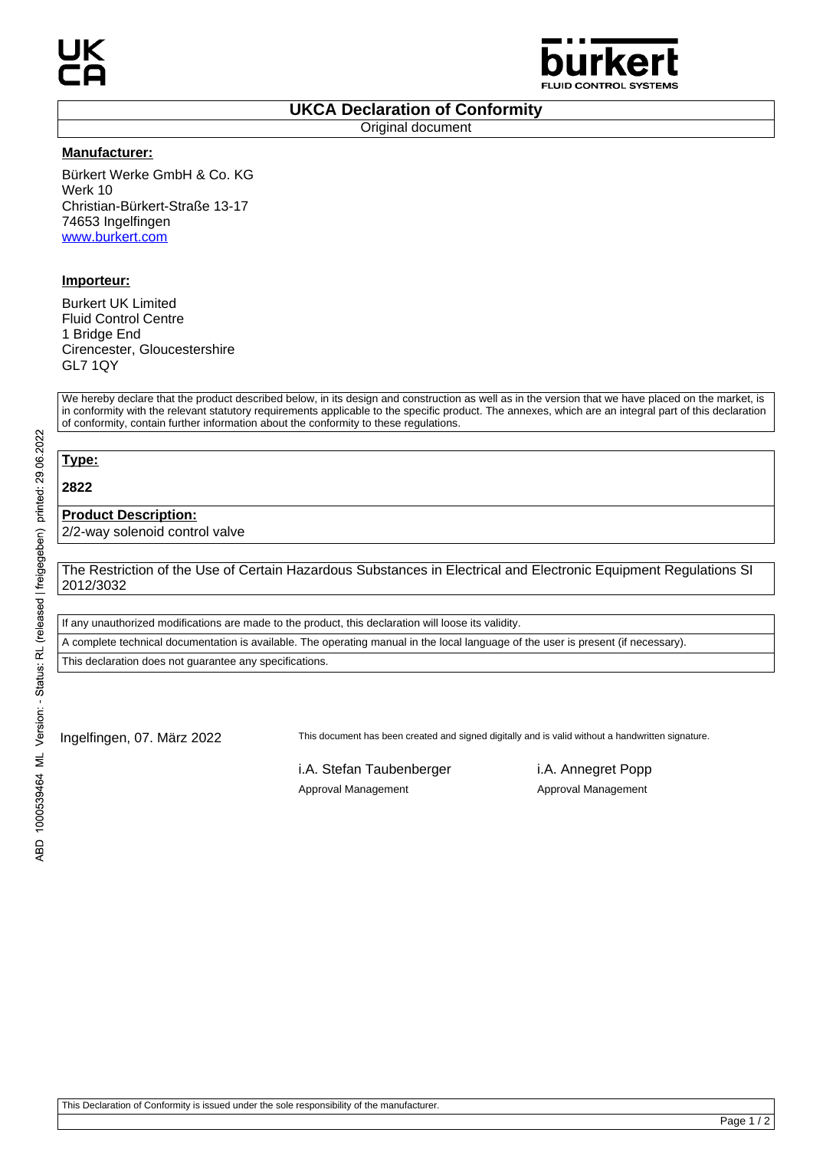

### **UKCA Declaration of Conformity**

Original document

#### **Manufacturer:**

Bürkert Werke GmbH & Co. KG Werk 10 Christian-Bürkert-Straße 13-17 74653 Ingelfingen www.burkert.com

## **Importeur:**

Burkert UK Limited Fluid Control Centre 1 Bridge End Cirencester, Gloucestershire GL7 1QY

We hereby declare that the product described below, in its design and construction as well as in the version that we have placed on the market, is in conformity with the relevant statutory requirements applicable to the specific product. The annexes, which are an integral part of this declaration of conformity, contain further information about the conformity to these regulations.

# **Type:**

**2822**

### **Product Description:**

2/2-way solenoid control valve

The Restriction of the Use of Certain Hazardous Substances in Electrical and Electronic Equipment Regulations SI 2012/3032

If any unauthorized modifications are made to the product, this declaration will loose its validity.

A complete technical documentation is available. The operating manual in the local language of the user is present (if necessary).

This declaration does not guarantee any specifications.

Ingelfingen, 07. März 2022 This document has been created and signed digitally and is valid without a handwritten signature.

i.A. Stefan Taubenberger i.A. Annegret Popp Approval Management Approval Management